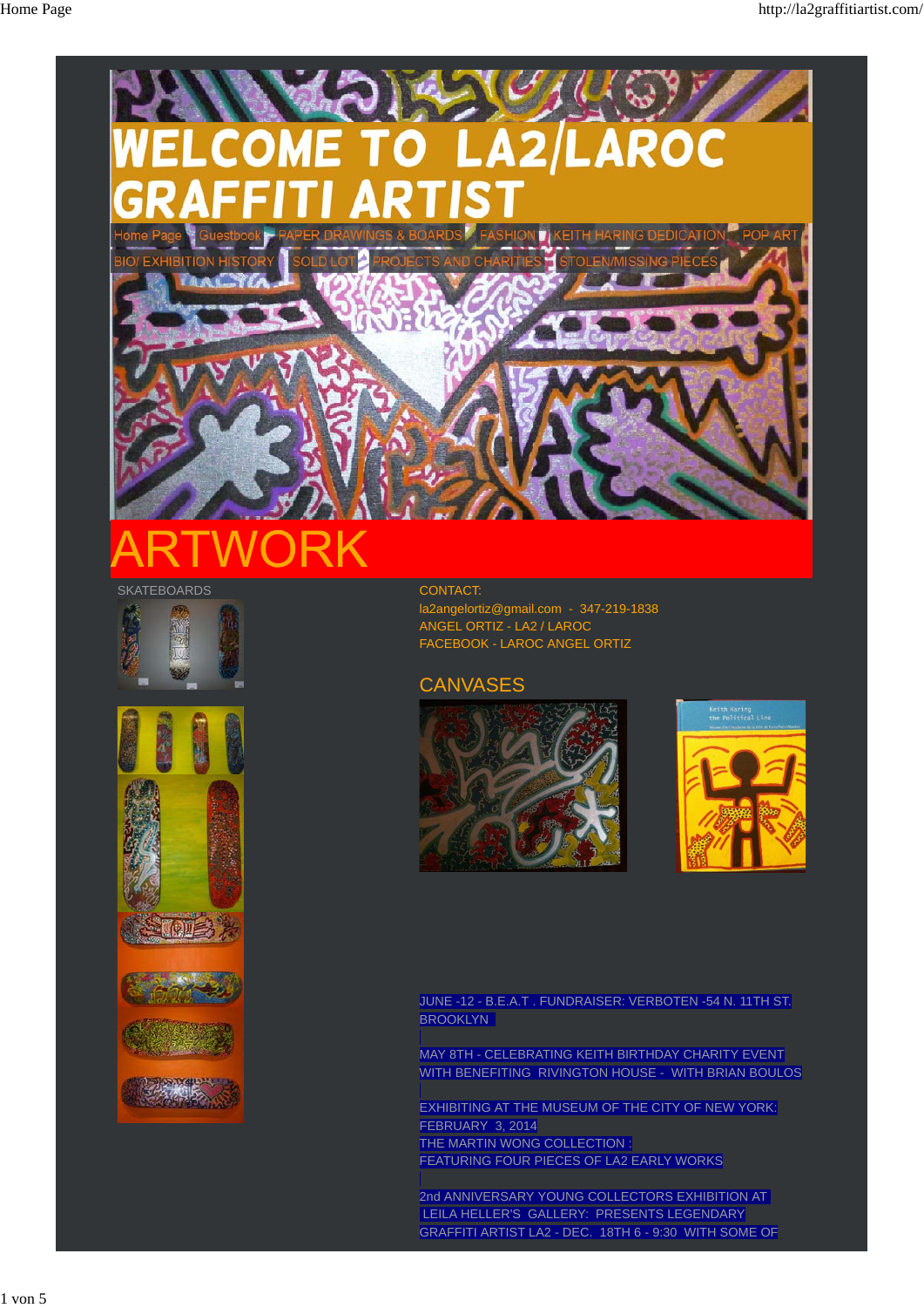

## **SKATEBOARDS**









CONTACT: la2angelortiz@gmail.com - 347-219-1838

ANGEL ORTIZ - LA2 / LAROC FACEBOOK - LAROC ANGEL ORTIZ

## **CANVASES**





JUNE -12 - B.E.A.T . FUNDRAISER: VERBOTEN -54 N. 11TH ST. **BROOKLYN** 

MAY 8TH - CELEBRATING KEITH BIRTHDAY CHARITY EVENT WITH BENEFITING RIVINGTON HOUSE - WITH BRIAN BOULOS

EXHIBITING AT THE MUSEUM OF THE CITY OF NEW YORK: FEBRUARY 3, 2014 THE MARTIN WONG COLLECTION : FEATURING FOUR PIECES OF LA2 EARLY WORKS

2nd ANNIVERSARY YOUNG COLLECTORS EXHIBITION AT LEILA HELLER'S GALLERY: PRESENTS LEGENDARY GRAFFITI ARTIST LA2 - DEC. 18TH 6 - 9:30 WITH SOME OF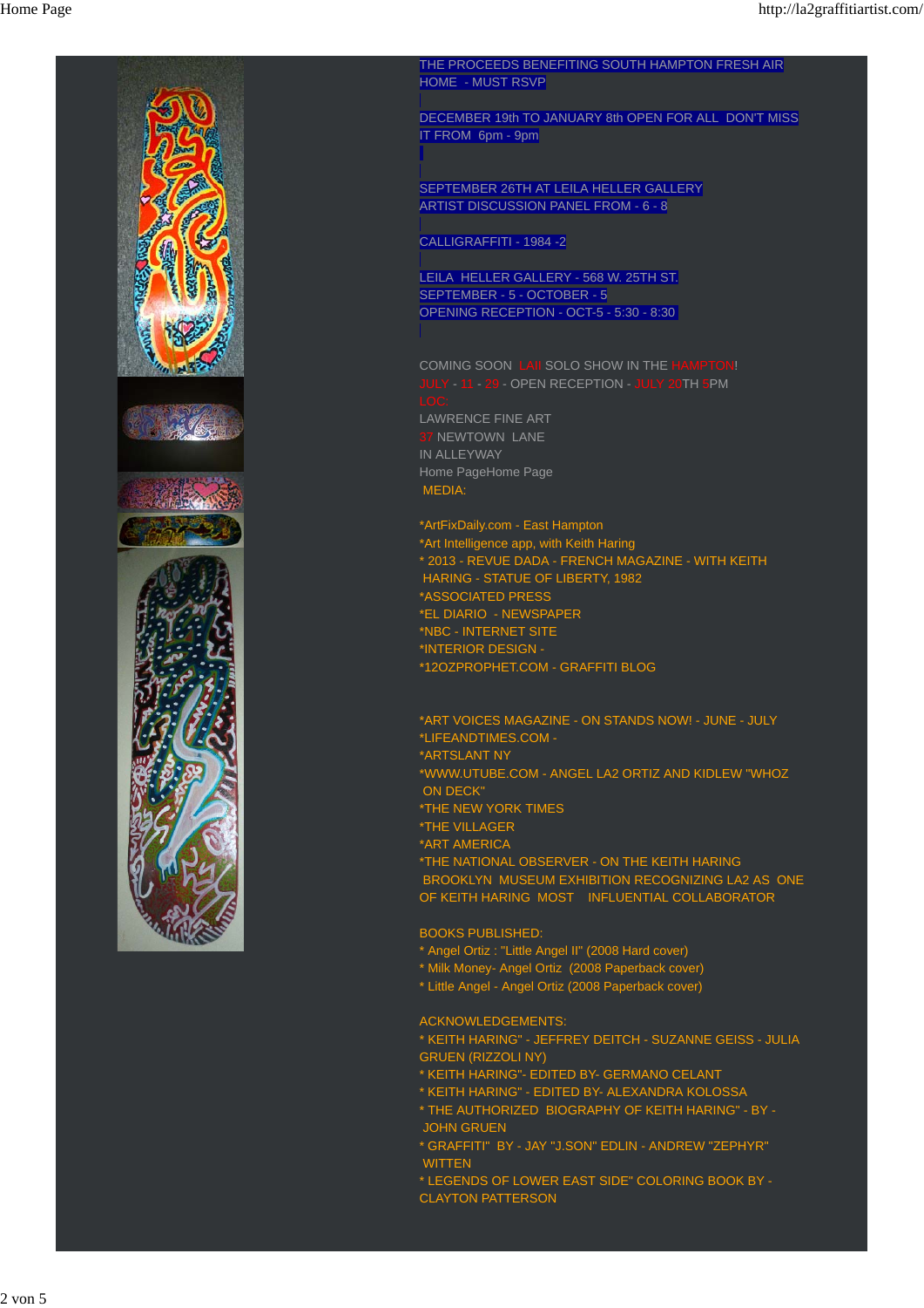

THE PROCEEDS BENEFITING SOUTH HAMPTON FRESH AIR HOME - MUST RSVP

DECEMBER 19th TO JANUARY 8th OPEN FOR ALL DON'T MISS IT FROM 6pm - 9pm

SEPTEMBER 26TH AT LEILA HELLER GALLERY ARTIST DISCUSSION PANEL FROM - 6 - 8

CALLIGRAFFITI - 1984 -2

LEILA HELLER GALLERY - 568 W. 25TH ST. SEPTEMBER - 5 - OCTOBER - 5 OPENING RECEPTION - OCT-5 - 5:30 - 8:30

COMING SOON LAII SOLO SHOW IN THE HAMPTON! JULY - 11 - 29 - OPEN RECEPTION - JULY 20TH 5PM LAWRENCE FINE ART **7 NEWTOWN LANE** IN ALLEYWAY Home PageHome Page

MEDIA:

\*ArtFixDaily.com - East Hampton \*Art Intelligence app, with Keith Haring \* 2013 - REVUE DADA - FRENCH MAGAZINE - WITH KEITH HARING - STATUE OF LIBERTY, 1982 \*ASSOCIATED PRESS \*EL DIARIO - NEWSPAPER \*NBC - INTERNET SITE \*INTERIOR DESIGN - \*12OZPROPHET.COM - GRAFFITI BLOG

\*ART VOICES MAGAZINE - ON STANDS NOW! - JUNE - JULY \*LIFEANDTIMES.COM - \*ARTSLANT NY \*WWW.UTUBE.COM - ANGEL LA2 ORTIZ AND KIDLEW "WHOZ ON DECK" \*THE NEW YORK TIMES \*THE VILLAGER \*ART AMERICA \*THE NATIONAL OBSERVER - ON THE KEITH HARING

 BROOKLYN MUSEUM EXHIBITION RECOGNIZING LA2 AS ONE OF KEITH HARING MOST INFLUENTIAL COLLABORATOR

BOOKS PUBLISHED:

- \* Angel Ortiz : "Little Angel II" (2008 Hard cover)
- \* Milk Money- Angel Ortiz (2008 Paperback cover)
- \* Little Angel Angel Ortiz (2008 Paperback cover)

ACKNOWLEDGEMENTS:

\* KEITH HARING" - JEFFREY DEITCH - SUZANNE GEISS - JULIA GRUEN (RIZZOLI NY)

- \* KEITH HARING"- EDITED BY- GERMANO CELANT
- \* KEITH HARING" EDITED BY- ALEXANDRA KOLOSSA
- \* THE AUTHORIZED BIOGRAPHY OF KEITH HARING" BY JOHN GRUEN
- \* GRAFFITI" BY JAY "J.SON" EDLIN ANDREW "ZEPHYR" WITTEN
- \* LEGENDS OF LOWER EAST SIDE" COLORING BOOK BY CLAYTON PATTERSON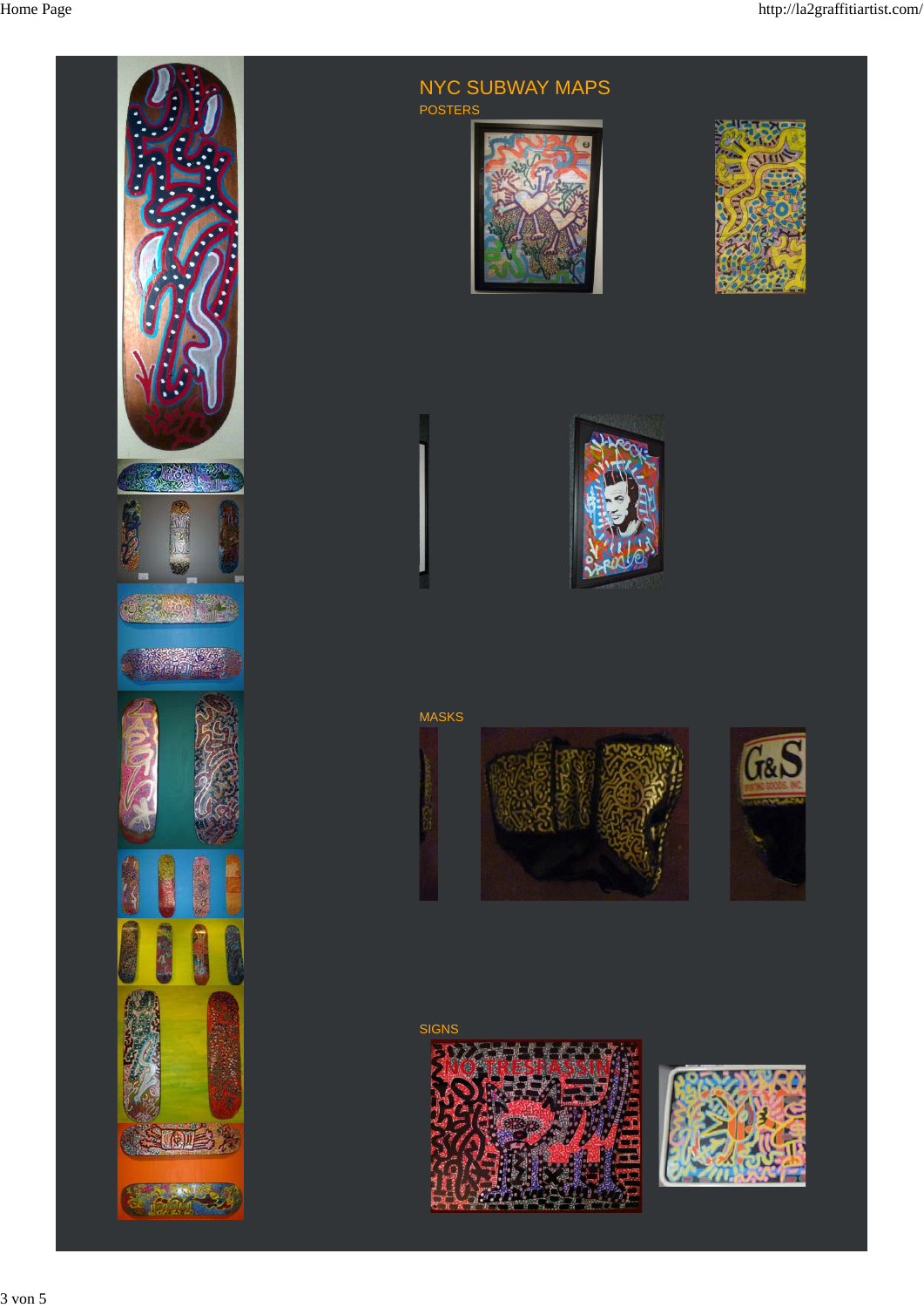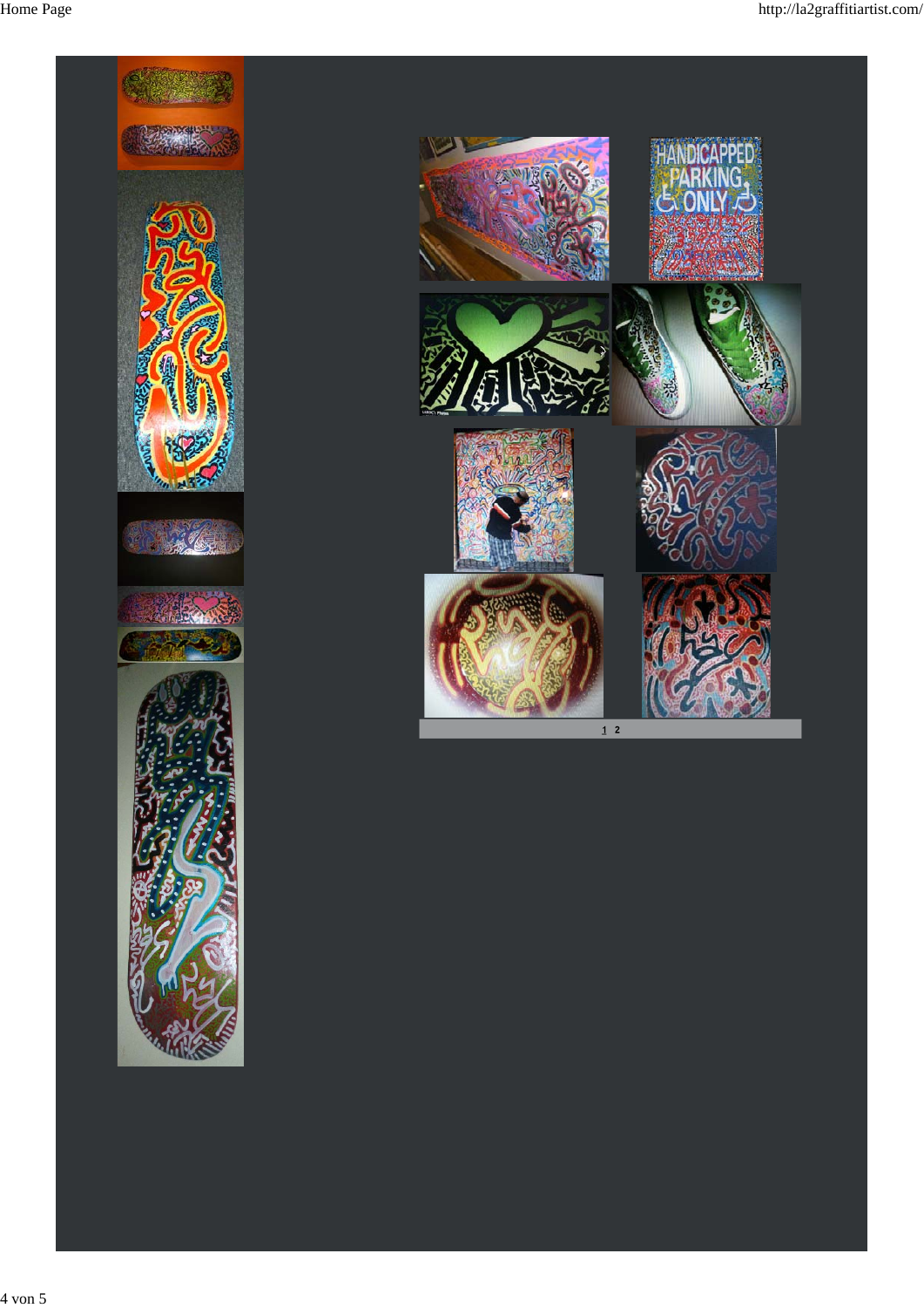